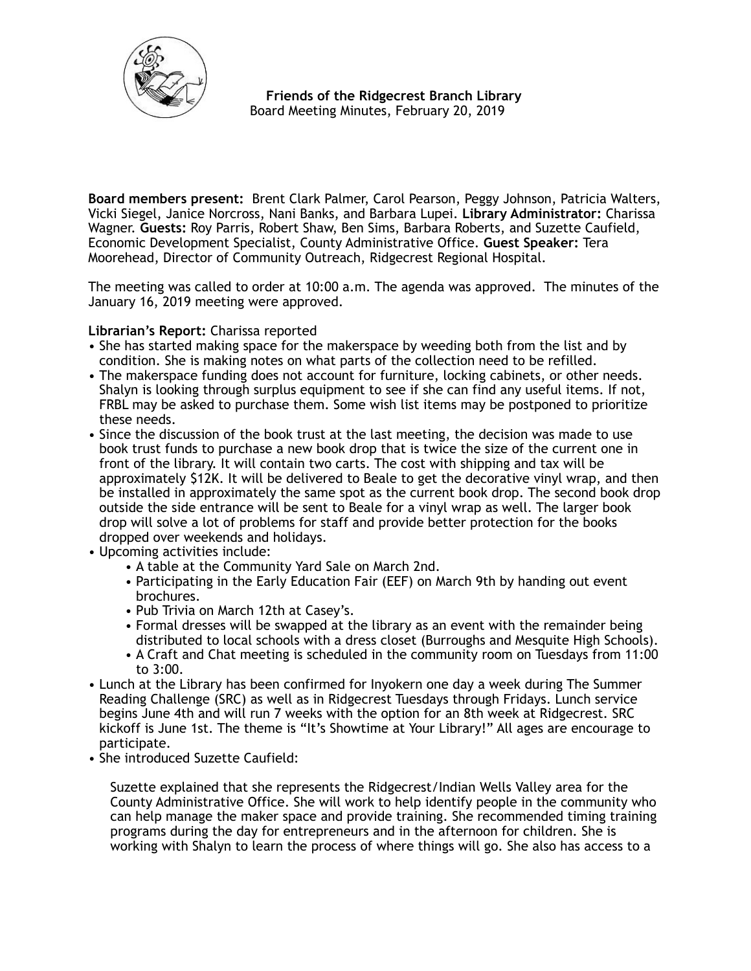

 **Friends of the Ridgecrest Branch Library**  Board Meeting Minutes, February 20, 2019

**Board members present:** Brent Clark Palmer, Carol Pearson, Peggy Johnson, Patricia Walters, Vicki Siegel, Janice Norcross, Nani Banks, and Barbara Lupei. **Library Administrator:** Charissa Wagner. **Guests:** Roy Parris, Robert Shaw, Ben Sims, Barbara Roberts, and Suzette Caufield, Economic Development Specialist, County Administrative Office. **Guest Speaker:** Tera Moorehead, Director of Community Outreach, Ridgecrest Regional Hospital.

The meeting was called to order at 10:00 a.m. The agenda was approved. The minutes of the January 16, 2019 meeting were approved.

# **Librarian's Report:** Charissa reported

- She has started making space for the makerspace by weeding both from the list and by condition. She is making notes on what parts of the collection need to be refilled.
- The makerspace funding does not account for furniture, locking cabinets, or other needs. Shalyn is looking through surplus equipment to see if she can find any useful items. If not, FRBL may be asked to purchase them. Some wish list items may be postponed to prioritize these needs.
- Since the discussion of the book trust at the last meeting, the decision was made to use book trust funds to purchase a new book drop that is twice the size of the current one in front of the library. It will contain two carts. The cost with shipping and tax will be approximately \$12K. It will be delivered to Beale to get the decorative vinyl wrap, and then be installed in approximately the same spot as the current book drop. The second book drop outside the side entrance will be sent to Beale for a vinyl wrap as well. The larger book drop will solve a lot of problems for staff and provide better protection for the books dropped over weekends and holidays.
- Upcoming activities include:
	- A table at the Community Yard Sale on March 2nd.
	- Participating in the Early Education Fair (EEF) on March 9th by handing out event brochures.
	- Pub Trivia on March 12th at Casey's.
	- Formal dresses will be swapped at the library as an event with the remainder being distributed to local schools with a dress closet (Burroughs and Mesquite High Schools).
	- A Craft and Chat meeting is scheduled in the community room on Tuesdays from 11:00 to 3:00.
- Lunch at the Library has been confirmed for Inyokern one day a week during The Summer Reading Challenge (SRC) as well as in Ridgecrest Tuesdays through Fridays. Lunch service begins June 4th and will run 7 weeks with the option for an 8th week at Ridgecrest. SRC kickoff is June 1st. The theme is "It's Showtime at Your Library!" All ages are encourage to participate.
- She introduced Suzette Caufield:

Suzette explained that she represents the Ridgecrest/Indian Wells Valley area for the County Administrative Office. She will work to help identify people in the community who can help manage the maker space and provide training. She recommended timing training programs during the day for entrepreneurs and in the afternoon for children. She is working with Shalyn to learn the process of where things will go. She also has access to a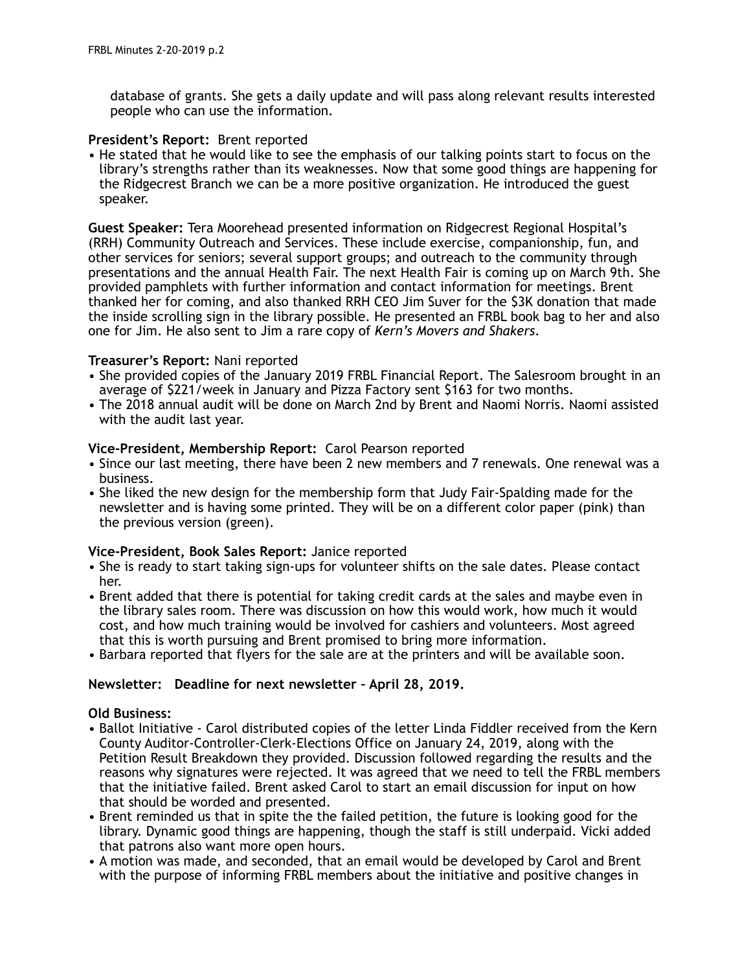database of grants. She gets a daily update and will pass along relevant results interested people who can use the information.

## **President's Report:** Brent reported

• He stated that he would like to see the emphasis of our talking points start to focus on the library's strengths rather than its weaknesses. Now that some good things are happening for the Ridgecrest Branch we can be a more positive organization. He introduced the guest speaker.

**Guest Speaker:** Tera Moorehead presented information on Ridgecrest Regional Hospital's (RRH) Community Outreach and Services. These include exercise, companionship, fun, and other services for seniors; several support groups; and outreach to the community through presentations and the annual Health Fair. The next Health Fair is coming up on March 9th. She provided pamphlets with further information and contact information for meetings. Brent thanked her for coming, and also thanked RRH CEO Jim Suver for the \$3K donation that made the inside scrolling sign in the library possible. He presented an FRBL book bag to her and also one for Jim. He also sent to Jim a rare copy of *Kern's Movers and Shakers*.

### **Treasurer's Report:** Nani reported

- She provided copies of the January 2019 FRBL Financial Report. The Salesroom brought in an average of \$221/week in January and Pizza Factory sent \$163 for two months.
- The 2018 annual audit will be done on March 2nd by Brent and Naomi Norris. Naomi assisted with the audit last year.

### **Vice-President, Membership Report:** Carol Pearson reported

- Since our last meeting, there have been 2 new members and 7 renewals. One renewal was a business.
- She liked the new design for the membership form that Judy Fair-Spalding made for the newsletter and is having some printed. They will be on a different color paper (pink) than the previous version (green).

#### **Vice-President, Book Sales Report:** Janice reported

- She is ready to start taking sign-ups for volunteer shifts on the sale dates. Please contact her.
- Brent added that there is potential for taking credit cards at the sales and maybe even in the library sales room. There was discussion on how this would work, how much it would cost, and how much training would be involved for cashiers and volunteers. Most agreed that this is worth pursuing and Brent promised to bring more information.
- Barbara reported that flyers for the sale are at the printers and will be available soon.

# **Newsletter: Deadline for next newsletter – April 28, 2019.**

#### **Old Business:**

- Ballot Initiative Carol distributed copies of the letter Linda Fiddler received from the Kern County Auditor-Controller-Clerk-Elections Office on January 24, 2019, along with the Petition Result Breakdown they provided. Discussion followed regarding the results and the reasons why signatures were rejected. It was agreed that we need to tell the FRBL members that the initiative failed. Brent asked Carol to start an email discussion for input on how that should be worded and presented.
- Brent reminded us that in spite the the failed petition, the future is looking good for the library. Dynamic good things are happening, though the staff is still underpaid. Vicki added that patrons also want more open hours.
- A motion was made, and seconded, that an email would be developed by Carol and Brent with the purpose of informing FRBL members about the initiative and positive changes in